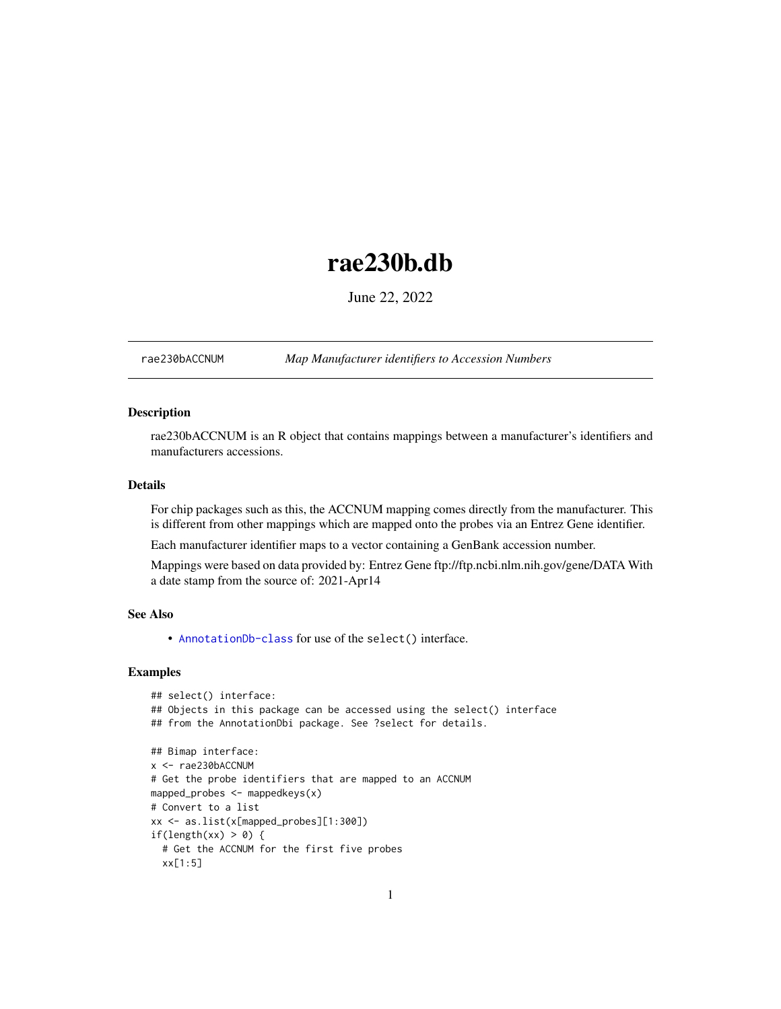# <span id="page-0-1"></span>rae230b.db

June 22, 2022

<span id="page-0-0"></span>rae230bACCNUM *Map Manufacturer identifiers to Accession Numbers*

# Description

rae230bACCNUM is an R object that contains mappings between a manufacturer's identifiers and manufacturers accessions.

# Details

For chip packages such as this, the ACCNUM mapping comes directly from the manufacturer. This is different from other mappings which are mapped onto the probes via an Entrez Gene identifier.

Each manufacturer identifier maps to a vector containing a GenBank accession number.

Mappings were based on data provided by: Entrez Gene ftp://ftp.ncbi.nlm.nih.gov/gene/DATA With a date stamp from the source of: 2021-Apr14

# See Also

• AnnotationDb-class for use of the select() interface.

```
## select() interface:
## Objects in this package can be accessed using the select() interface
## from the AnnotationDbi package. See ?select for details.
## Bimap interface:
x <- rae230bACCNUM
# Get the probe identifiers that are mapped to an ACCNUM
mapped_probes <- mappedkeys(x)
# Convert to a list
xx <- as.list(x[mapped_probes][1:300])
if(length(xx) > 0) {
 # Get the ACCNUM for the first five probes
 xx[1:5]
```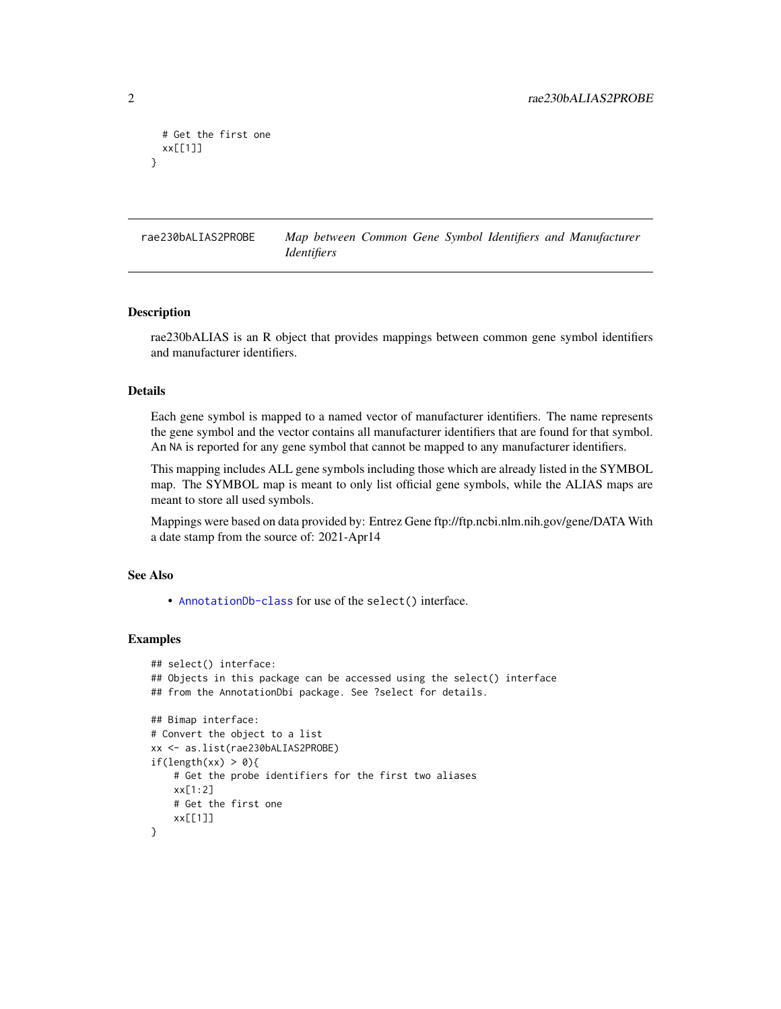```
# Get the first one
 xx[[1]]
}
```
rae230bALIAS2PROBE *Map between Common Gene Symbol Identifiers and Manufacturer Identifiers*

#### Description

rae230bALIAS is an R object that provides mappings between common gene symbol identifiers and manufacturer identifiers.

# Details

Each gene symbol is mapped to a named vector of manufacturer identifiers. The name represents the gene symbol and the vector contains all manufacturer identifiers that are found for that symbol. An NA is reported for any gene symbol that cannot be mapped to any manufacturer identifiers.

This mapping includes ALL gene symbols including those which are already listed in the SYMBOL map. The SYMBOL map is meant to only list official gene symbols, while the ALIAS maps are meant to store all used symbols.

Mappings were based on data provided by: Entrez Gene ftp://ftp.ncbi.nlm.nih.gov/gene/DATA With a date stamp from the source of: 2021-Apr14

# See Also

• [AnnotationDb-class](#page-0-0) for use of the select() interface.

```
## select() interface:
## Objects in this package can be accessed using the select() interface
## from the AnnotationDbi package. See ?select for details.
## Bimap interface:
# Convert the object to a list
xx <- as.list(rae230bALIAS2PROBE)
if(length(xx) > 0){
    # Get the probe identifiers for the first two aliases
   xx[1:2]
   # Get the first one
   xx[[1]]
}
```
<span id="page-1-0"></span>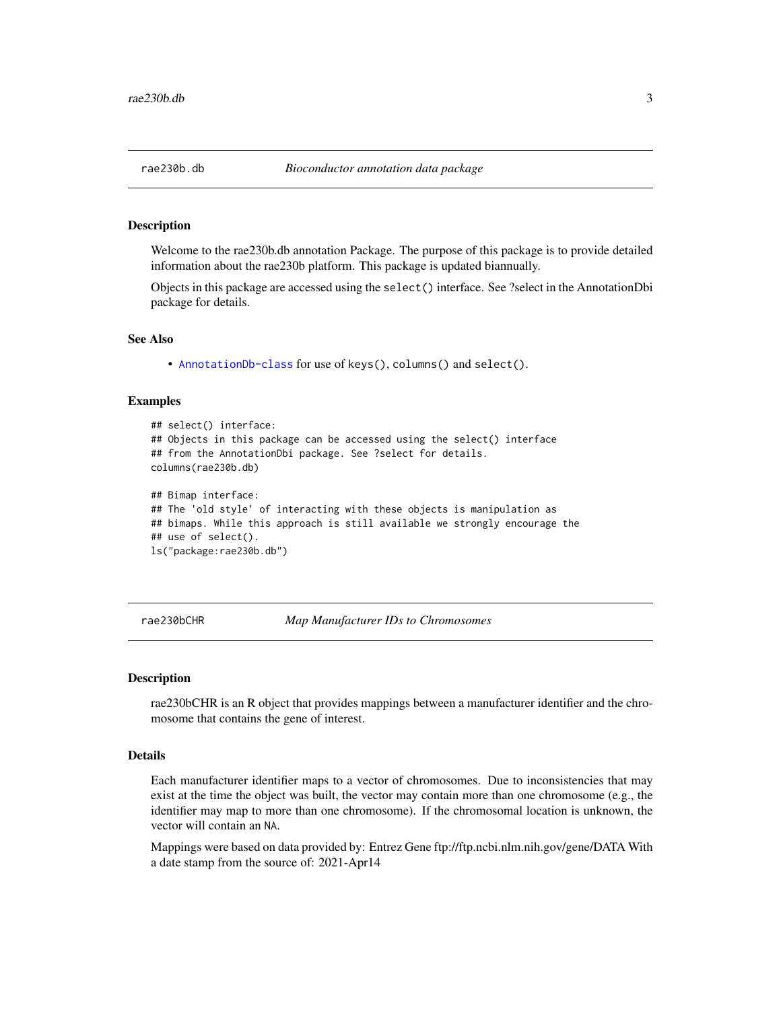<span id="page-2-0"></span>Welcome to the rae230b.db annotation Package. The purpose of this package is to provide detailed information about the rae230b platform. This package is updated biannually.

Objects in this package are accessed using the select() interface. See ?select in the AnnotationDbi package for details.

#### See Also

• [AnnotationDb-class](#page-0-0) for use of keys(), columns() and select().

#### Examples

```
## select() interface:
## Objects in this package can be accessed using the select() interface
## from the AnnotationDbi package. See ?select for details.
columns(rae230b.db)
## Bimap interface:
## The 'old style' of interacting with these objects is manipulation as
## bimaps. While this approach is still available we strongly encourage the
## use of select().
ls("package:rae230b.db")
```
rae230bCHR *Map Manufacturer IDs to Chromosomes*

#### **Description**

rae230bCHR is an R object that provides mappings between a manufacturer identifier and the chromosome that contains the gene of interest.

# Details

Each manufacturer identifier maps to a vector of chromosomes. Due to inconsistencies that may exist at the time the object was built, the vector may contain more than one chromosome (e.g., the identifier may map to more than one chromosome). If the chromosomal location is unknown, the vector will contain an NA.

Mappings were based on data provided by: Entrez Gene ftp://ftp.ncbi.nlm.nih.gov/gene/DATA With a date stamp from the source of: 2021-Apr14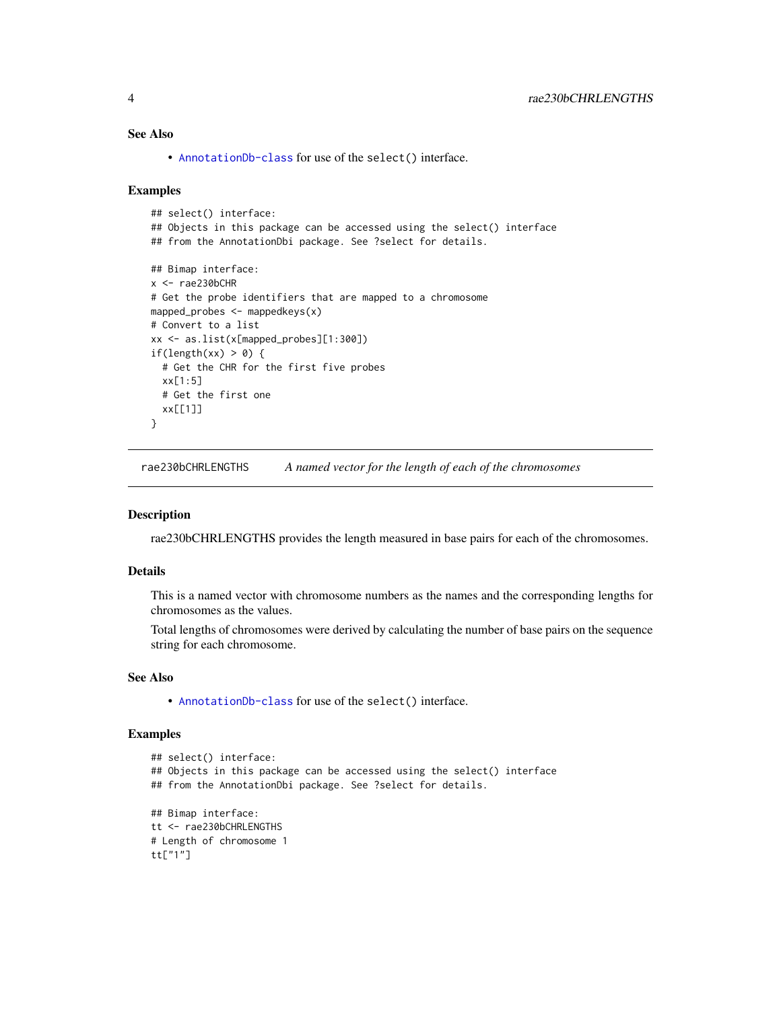# <span id="page-3-0"></span>See Also

• [AnnotationDb-class](#page-0-0) for use of the select() interface.

#### Examples

```
## select() interface:
## Objects in this package can be accessed using the select() interface
## from the AnnotationDbi package. See ?select for details.
## Bimap interface:
x < - rae230bCHR
# Get the probe identifiers that are mapped to a chromosome
mapped_probes <- mappedkeys(x)
# Convert to a list
xx <- as.list(x[mapped_probes][1:300])
if(length(xx) > 0) {
  # Get the CHR for the first five probes
  xx[1:5]
  # Get the first one
  xx[[1]]
}
```
rae230bCHRLENGTHS *A named vector for the length of each of the chromosomes*

#### Description

rae230bCHRLENGTHS provides the length measured in base pairs for each of the chromosomes.

#### Details

This is a named vector with chromosome numbers as the names and the corresponding lengths for chromosomes as the values.

Total lengths of chromosomes were derived by calculating the number of base pairs on the sequence string for each chromosome.

# See Also

• [AnnotationDb-class](#page-0-0) for use of the select() interface.

```
## select() interface:
## Objects in this package can be accessed using the select() interface
## from the AnnotationDbi package. See ?select for details.
## Bimap interface:
tt <- rae230bCHRLENGTHS
# Length of chromosome 1
tt["1"]
```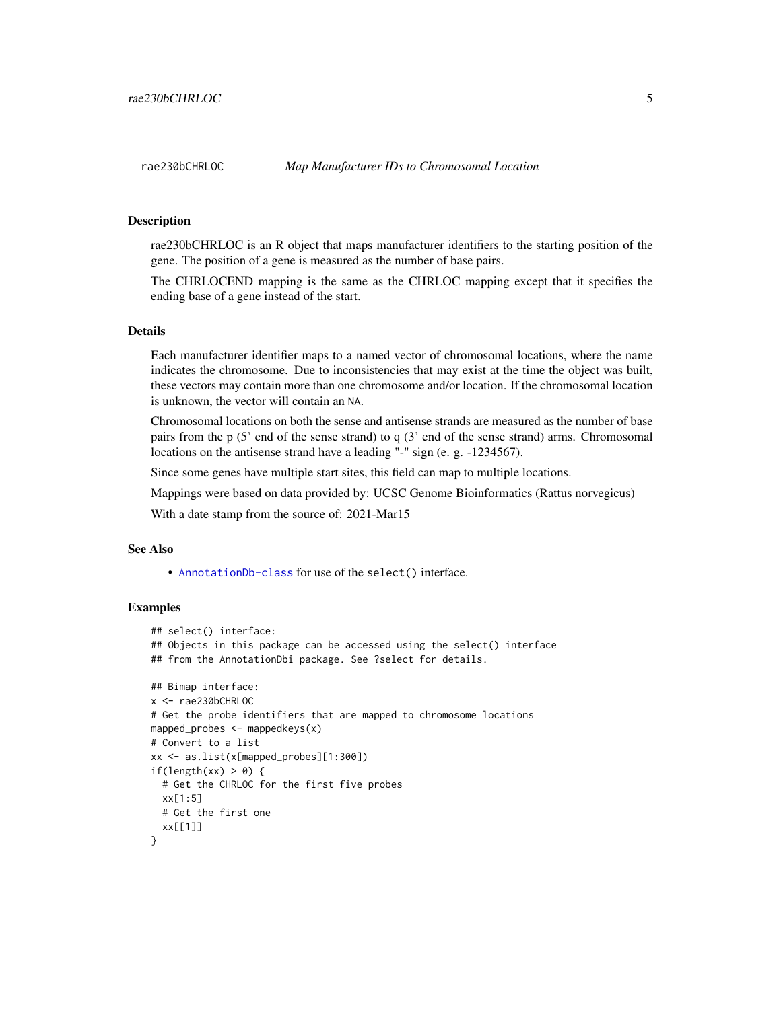<span id="page-4-0"></span>rae230bCHRLOC is an R object that maps manufacturer identifiers to the starting position of the gene. The position of a gene is measured as the number of base pairs.

The CHRLOCEND mapping is the same as the CHRLOC mapping except that it specifies the ending base of a gene instead of the start.

# Details

Each manufacturer identifier maps to a named vector of chromosomal locations, where the name indicates the chromosome. Due to inconsistencies that may exist at the time the object was built, these vectors may contain more than one chromosome and/or location. If the chromosomal location is unknown, the vector will contain an NA.

Chromosomal locations on both the sense and antisense strands are measured as the number of base pairs from the p (5' end of the sense strand) to q (3' end of the sense strand) arms. Chromosomal locations on the antisense strand have a leading "-" sign (e. g. -1234567).

Since some genes have multiple start sites, this field can map to multiple locations.

Mappings were based on data provided by: UCSC Genome Bioinformatics (Rattus norvegicus)

With a date stamp from the source of: 2021-Mar15

# See Also

• [AnnotationDb-class](#page-0-0) for use of the select() interface.

```
## select() interface:
## Objects in this package can be accessed using the select() interface
## from the AnnotationDbi package. See ?select for details.
## Bimap interface:
x <- rae230bCHRLOC
# Get the probe identifiers that are mapped to chromosome locations
mapped_probes <- mappedkeys(x)
# Convert to a list
xx <- as.list(x[mapped_probes][1:300])
if(length(xx) > 0) {
 # Get the CHRLOC for the first five probes
 xx[1:5]
 # Get the first one
 xx[[1]]
}
```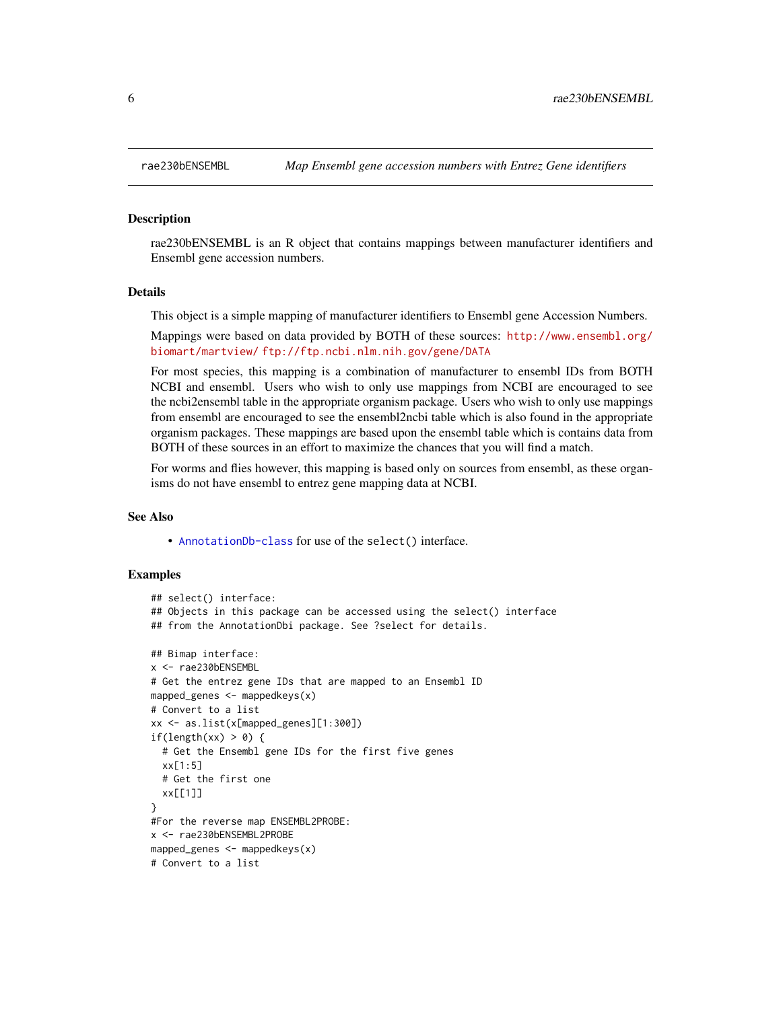rae230bENSEMBL is an R object that contains mappings between manufacturer identifiers and Ensembl gene accession numbers.

# Details

This object is a simple mapping of manufacturer identifiers to Ensembl gene Accession Numbers.

Mappings were based on data provided by BOTH of these sources: [http://www.ensembl.org/](http://www.ensembl.org/biomart/martview/) [biomart/martview/](http://www.ensembl.org/biomart/martview/) <ftp://ftp.ncbi.nlm.nih.gov/gene/DATA>

For most species, this mapping is a combination of manufacturer to ensembl IDs from BOTH NCBI and ensembl. Users who wish to only use mappings from NCBI are encouraged to see the ncbi2ensembl table in the appropriate organism package. Users who wish to only use mappings from ensembl are encouraged to see the ensembl2ncbi table which is also found in the appropriate organism packages. These mappings are based upon the ensembl table which is contains data from BOTH of these sources in an effort to maximize the chances that you will find a match.

For worms and flies however, this mapping is based only on sources from ensembl, as these organisms do not have ensembl to entrez gene mapping data at NCBI.

# See Also

• [AnnotationDb-class](#page-0-0) for use of the select() interface.

```
## select() interface:
## Objects in this package can be accessed using the select() interface
## from the AnnotationDbi package. See ?select for details.
## Bimap interface:
x <- rae230bENSEMBL
# Get the entrez gene IDs that are mapped to an Ensembl ID
mapped_genes \leq mappedkeys(x)
# Convert to a list
xx <- as.list(x[mapped_genes][1:300])
if(length(xx) > 0) {
 # Get the Ensembl gene IDs for the first five genes
 xx[1:5]
 # Get the first one
 xx[[1]]
}
#For the reverse map ENSEMBL2PROBE:
x <- rae230bENSEMBL2PROBE
mapped_genes <- mappedkeys(x)
# Convert to a list
```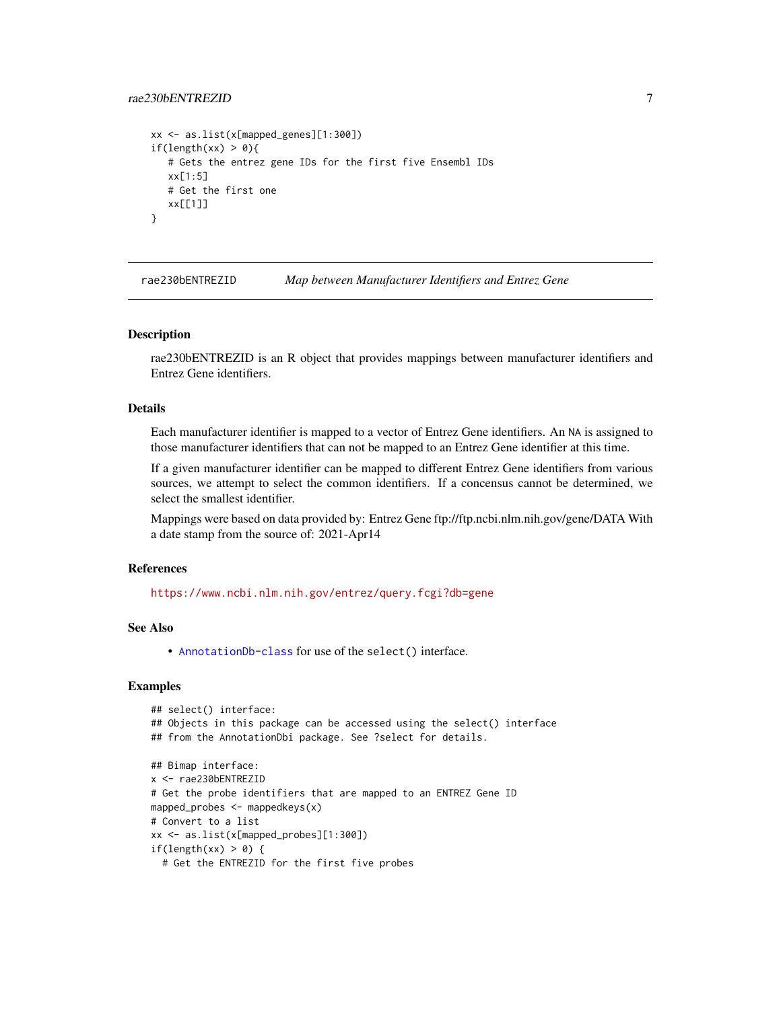# <span id="page-6-0"></span>rae230bENTREZID 7

```
xx <- as.list(x[mapped_genes][1:300])
if(length(xx) > 0){
   # Gets the entrez gene IDs for the first five Ensembl IDs
  xx[1:5]
  # Get the first one
  xx[[1]]
}
```
rae230bENTREZID *Map between Manufacturer Identifiers and Entrez Gene*

#### Description

rae230bENTREZID is an R object that provides mappings between manufacturer identifiers and Entrez Gene identifiers.

# Details

Each manufacturer identifier is mapped to a vector of Entrez Gene identifiers. An NA is assigned to those manufacturer identifiers that can not be mapped to an Entrez Gene identifier at this time.

If a given manufacturer identifier can be mapped to different Entrez Gene identifiers from various sources, we attempt to select the common identifiers. If a concensus cannot be determined, we select the smallest identifier.

Mappings were based on data provided by: Entrez Gene ftp://ftp.ncbi.nlm.nih.gov/gene/DATA With a date stamp from the source of: 2021-Apr14

# References

<https://www.ncbi.nlm.nih.gov/entrez/query.fcgi?db=gene>

# See Also

• [AnnotationDb-class](#page-0-0) for use of the select() interface.

```
## select() interface:
## Objects in this package can be accessed using the select() interface
## from the AnnotationDbi package. See ?select for details.
## Bimap interface:
x <- rae230bENTREZID
# Get the probe identifiers that are mapped to an ENTREZ Gene ID
mapped_probes <- mappedkeys(x)
# Convert to a list
xx <- as.list(x[mapped_probes][1:300])
if(length(xx) > 0) {
 # Get the ENTREZID for the first five probes
```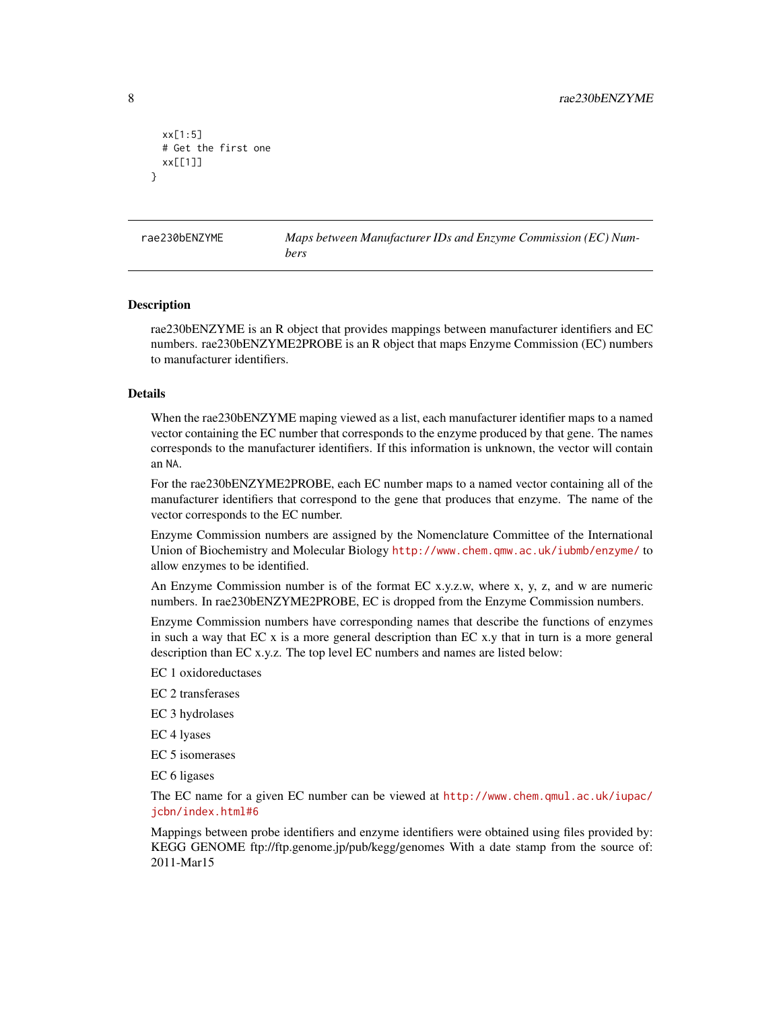```
xx[1:5]
 # Get the first one
 xx[[1]]
}
```
rae230bENZYME *Maps between Manufacturer IDs and Enzyme Commission (EC) Numbers*

#### Description

rae230bENZYME is an R object that provides mappings between manufacturer identifiers and EC numbers. rae230bENZYME2PROBE is an R object that maps Enzyme Commission (EC) numbers to manufacturer identifiers.

#### Details

When the rae230bENZYME maping viewed as a list, each manufacturer identifier maps to a named vector containing the EC number that corresponds to the enzyme produced by that gene. The names corresponds to the manufacturer identifiers. If this information is unknown, the vector will contain an NA.

For the rae230bENZYME2PROBE, each EC number maps to a named vector containing all of the manufacturer identifiers that correspond to the gene that produces that enzyme. The name of the vector corresponds to the EC number.

Enzyme Commission numbers are assigned by the Nomenclature Committee of the International Union of Biochemistry and Molecular Biology <http://www.chem.qmw.ac.uk/iubmb/enzyme/> to allow enzymes to be identified.

An Enzyme Commission number is of the format EC x.y.z.w, where x, y, z, and w are numeric numbers. In rae230bENZYME2PROBE, EC is dropped from the Enzyme Commission numbers.

Enzyme Commission numbers have corresponding names that describe the functions of enzymes in such a way that EC x is a more general description than EC x.y that in turn is a more general description than EC x.y.z. The top level EC numbers and names are listed below:

EC 1 oxidoreductases

EC 2 transferases

EC 3 hydrolases

EC 4 lyases

EC 5 isomerases

EC 6 ligases

The EC name for a given EC number can be viewed at [http://www.chem.qmul.ac.uk/iupac/](http://www.chem.qmul.ac.uk/iupac/jcbn/index.html#6) [jcbn/index.html#6](http://www.chem.qmul.ac.uk/iupac/jcbn/index.html#6)

Mappings between probe identifiers and enzyme identifiers were obtained using files provided by: KEGG GENOME ftp://ftp.genome.jp/pub/kegg/genomes With a date stamp from the source of: 2011-Mar15

<span id="page-7-0"></span>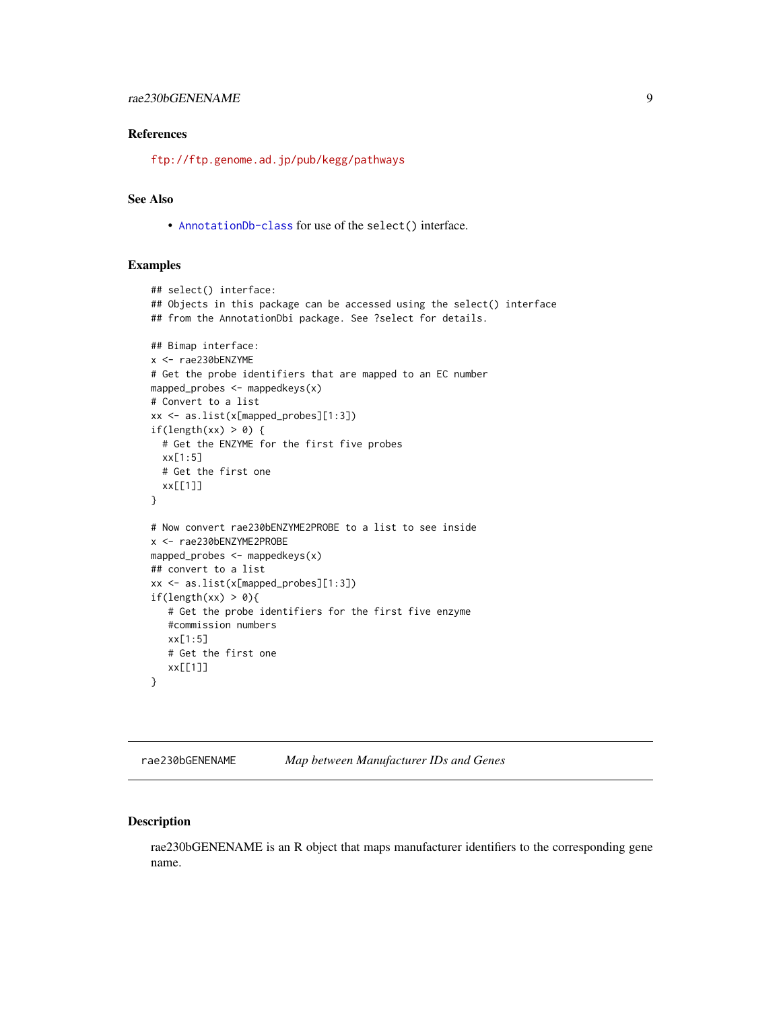# <span id="page-8-0"></span>rae230bGENENAME 9

#### References

<ftp://ftp.genome.ad.jp/pub/kegg/pathways>

# See Also

• [AnnotationDb-class](#page-0-0) for use of the select() interface.

# Examples

```
## select() interface:
## Objects in this package can be accessed using the select() interface
## from the AnnotationDbi package. See ?select for details.
## Bimap interface:
x <- rae230bENZYME
# Get the probe identifiers that are mapped to an EC number
mapped_probes <- mappedkeys(x)
# Convert to a list
xx <- as.list(x[mapped_probes][1:3])
if(length(xx) > 0) {
  # Get the ENZYME for the first five probes
  xx[1:5]
  # Get the first one
  xx[[1]]
}
# Now convert rae230bENZYME2PROBE to a list to see inside
x <- rae230bENZYME2PROBE
mapped_probes \leq mappedkeys(x)
## convert to a list
xx <- as.list(x[mapped_probes][1:3])
if(length(xx) > 0){
   # Get the probe identifiers for the first five enzyme
   #commission numbers
   xx[1:5]
   # Get the first one
  xx[[1]]
}
```
rae230bGENENAME *Map between Manufacturer IDs and Genes*

# Description

rae230bGENENAME is an R object that maps manufacturer identifiers to the corresponding gene name.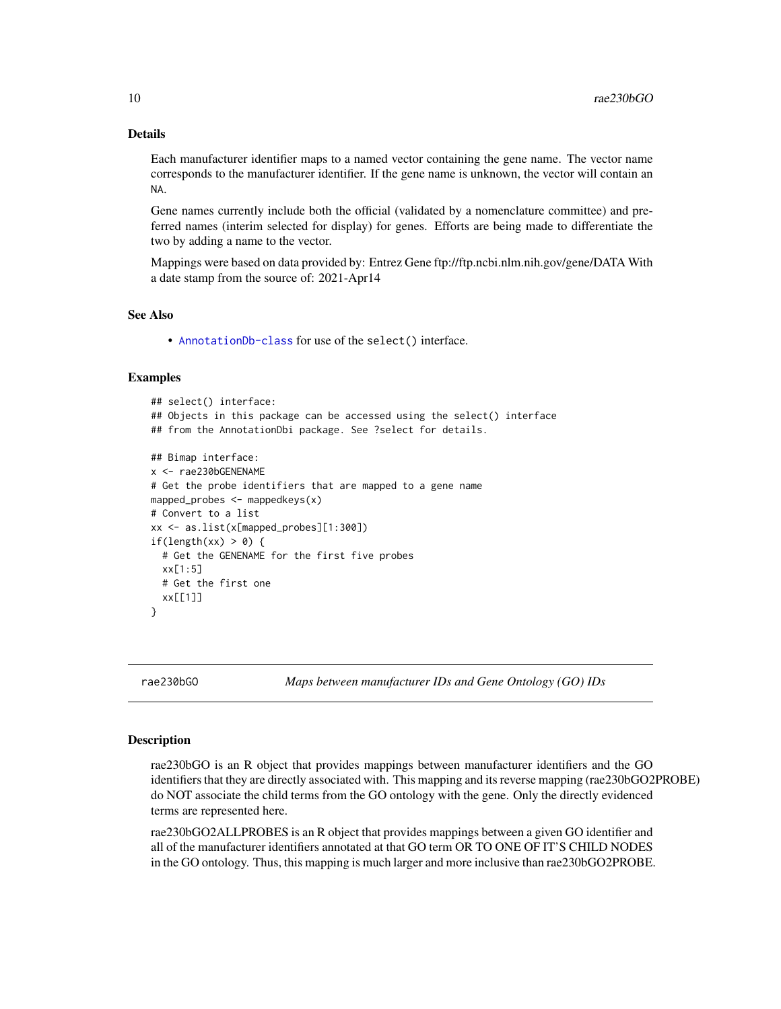# Details

Each manufacturer identifier maps to a named vector containing the gene name. The vector name corresponds to the manufacturer identifier. If the gene name is unknown, the vector will contain an NA.

Gene names currently include both the official (validated by a nomenclature committee) and preferred names (interim selected for display) for genes. Efforts are being made to differentiate the two by adding a name to the vector.

Mappings were based on data provided by: Entrez Gene ftp://ftp.ncbi.nlm.nih.gov/gene/DATA With a date stamp from the source of: 2021-Apr14

# See Also

• [AnnotationDb-class](#page-0-0) for use of the select() interface.

#### Examples

```
## select() interface:
## Objects in this package can be accessed using the select() interface
## from the AnnotationDbi package. See ?select for details.
## Bimap interface:
x <- rae230bGENENAME
# Get the probe identifiers that are mapped to a gene name
mapped_probes <- mappedkeys(x)
# Convert to a list
xx <- as.list(x[mapped_probes][1:300])
if(length(xx) > 0) {
 # Get the GENENAME for the first five probes
 xx[1:5]
 # Get the first one
 xx[[1]]
}
```
rae230bGO *Maps between manufacturer IDs and Gene Ontology (GO) IDs*

#### <span id="page-9-0"></span>Description

rae230bGO is an R object that provides mappings between manufacturer identifiers and the GO identifiers that they are directly associated with. This mapping and its reverse mapping (rae230bGO2PROBE) do NOT associate the child terms from the GO ontology with the gene. Only the directly evidenced terms are represented here.

rae230bGO2ALLPROBES is an R object that provides mappings between a given GO identifier and all of the manufacturer identifiers annotated at that GO term OR TO ONE OF IT'S CHILD NODES in the GO ontology. Thus, this mapping is much larger and more inclusive than rae230bGO2PROBE.

<span id="page-9-1"></span>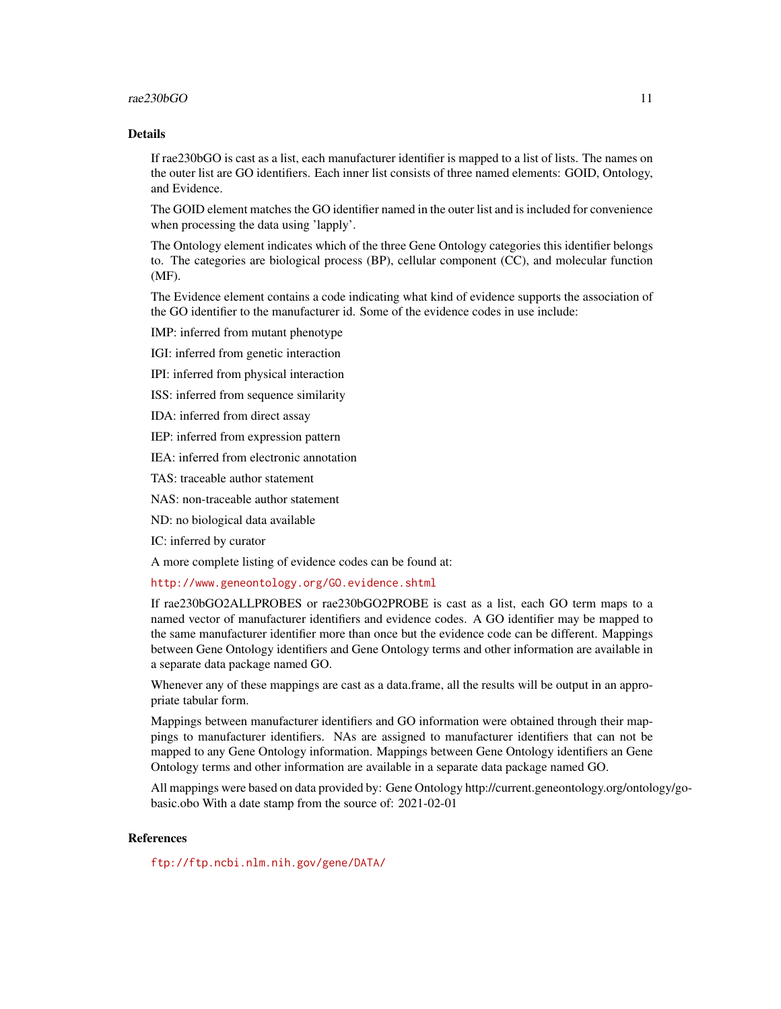#### $rae230bGO$  11

# Details

If rae230bGO is cast as a list, each manufacturer identifier is mapped to a list of lists. The names on the outer list are GO identifiers. Each inner list consists of three named elements: GOID, Ontology, and Evidence.

The GOID element matches the GO identifier named in the outer list and is included for convenience when processing the data using 'lapply'.

The Ontology element indicates which of the three Gene Ontology categories this identifier belongs to. The categories are biological process (BP), cellular component (CC), and molecular function (MF).

The Evidence element contains a code indicating what kind of evidence supports the association of the GO identifier to the manufacturer id. Some of the evidence codes in use include:

IMP: inferred from mutant phenotype

IGI: inferred from genetic interaction

IPI: inferred from physical interaction

ISS: inferred from sequence similarity

IDA: inferred from direct assay

IEP: inferred from expression pattern

IEA: inferred from electronic annotation

TAS: traceable author statement

NAS: non-traceable author statement

ND: no biological data available

IC: inferred by curator

A more complete listing of evidence codes can be found at:

<http://www.geneontology.org/GO.evidence.shtml>

If rae230bGO2ALLPROBES or rae230bGO2PROBE is cast as a list, each GO term maps to a named vector of manufacturer identifiers and evidence codes. A GO identifier may be mapped to the same manufacturer identifier more than once but the evidence code can be different. Mappings between Gene Ontology identifiers and Gene Ontology terms and other information are available in a separate data package named GO.

Whenever any of these mappings are cast as a data.frame, all the results will be output in an appropriate tabular form.

Mappings between manufacturer identifiers and GO information were obtained through their mappings to manufacturer identifiers. NAs are assigned to manufacturer identifiers that can not be mapped to any Gene Ontology information. Mappings between Gene Ontology identifiers an Gene Ontology terms and other information are available in a separate data package named GO.

All mappings were based on data provided by: Gene Ontology http://current.geneontology.org/ontology/gobasic.obo With a date stamp from the source of: 2021-02-01

#### References

<ftp://ftp.ncbi.nlm.nih.gov/gene/DATA/>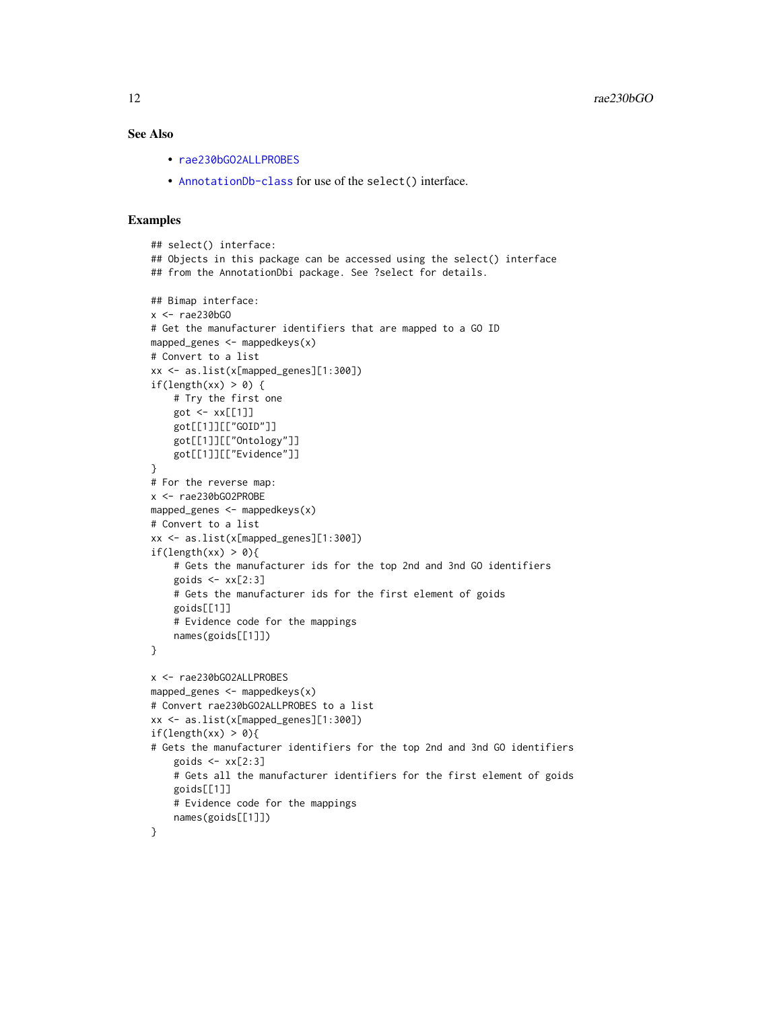# <span id="page-11-0"></span>See Also

- [rae230bGO2ALLPROBES](#page-9-0)
- [AnnotationDb-class](#page-0-0) for use of the select() interface.

```
## select() interface:
## Objects in this package can be accessed using the select() interface
## from the AnnotationDbi package. See ?select for details.
## Bimap interface:
x <- rae230bGO
# Get the manufacturer identifiers that are mapped to a GO ID
mapped_genes <- mappedkeys(x)
# Convert to a list
xx <- as.list(x[mapped_genes][1:300])
if(length(xx) > 0) {
    # Try the first one
   got \leq -xx[[1]]got[[1]][["GOID"]]
    got[[1]][["Ontology"]]
   got[[1]][["Evidence"]]
}
# For the reverse map:
x <- rae230bGO2PROBE
mapped_genes <- mappedkeys(x)
# Convert to a list
xx <- as.list(x[mapped_genes][1:300])
if(length(xx) > 0){
    # Gets the manufacturer ids for the top 2nd and 3nd GO identifiers
    goids \leq -x \times [2:3]# Gets the manufacturer ids for the first element of goids
    goids[[1]]
    # Evidence code for the mappings
   names(goids[[1]])
}
x <- rae230bGO2ALLPROBES
mapped_genes <- mappedkeys(x)
# Convert rae230bGO2ALLPROBES to a list
xx <- as.list(x[mapped_genes][1:300])
if(length(xx) > 0){
# Gets the manufacturer identifiers for the top 2nd and 3nd GO identifiers
    goids \leq xx[2:3]# Gets all the manufacturer identifiers for the first element of goids
   goids[[1]]
    # Evidence code for the mappings
   names(goids[[1]])
}
```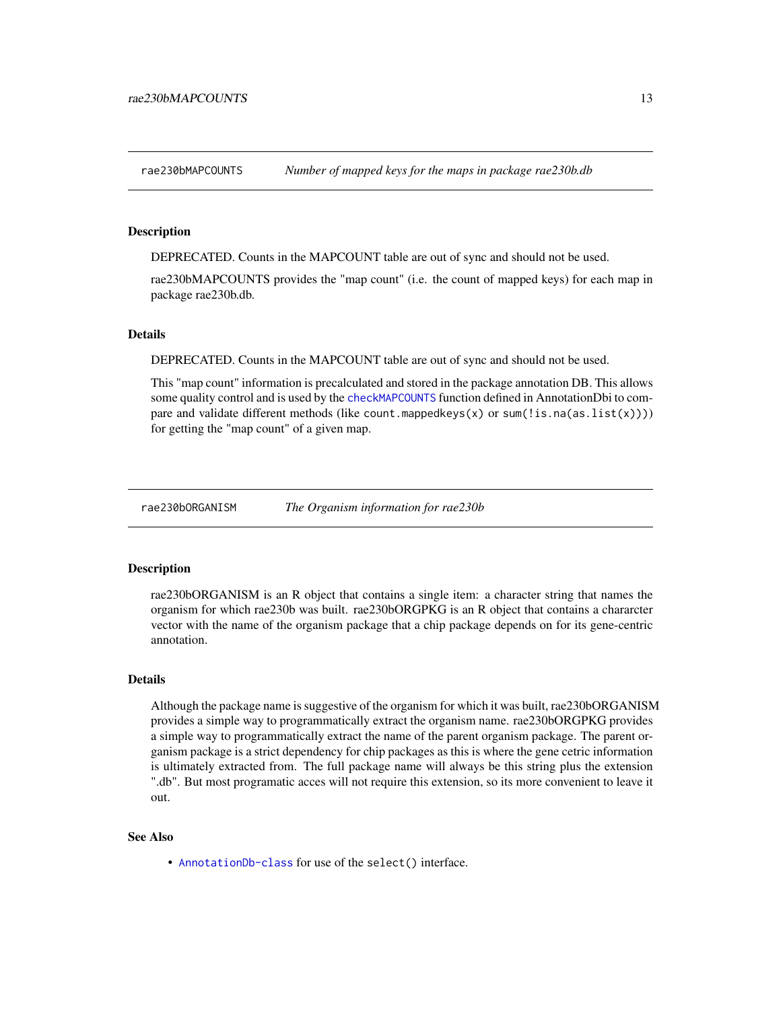<span id="page-12-0"></span>rae230bMAPCOUNTS *Number of mapped keys for the maps in package rae230b.db*

#### Description

DEPRECATED. Counts in the MAPCOUNT table are out of sync and should not be used.

rae230bMAPCOUNTS provides the "map count" (i.e. the count of mapped keys) for each map in package rae230b.db.

#### **Details**

DEPRECATED. Counts in the MAPCOUNT table are out of sync and should not be used.

This "map count" information is precalculated and stored in the package annotation DB. This allows some quality control and is used by the [checkMAPCOUNTS](#page-0-0) function defined in AnnotationDbi to compare and validate different methods (like count.mappedkeys $(x)$  or sum(!is.na(as.list(x)))) for getting the "map count" of a given map.

rae230bORGANISM *The Organism information for rae230b*

#### Description

rae230bORGANISM is an R object that contains a single item: a character string that names the organism for which rae230b was built. rae230bORGPKG is an R object that contains a chararcter vector with the name of the organism package that a chip package depends on for its gene-centric annotation.

# Details

Although the package name is suggestive of the organism for which it was built, rae230bORGANISM provides a simple way to programmatically extract the organism name. rae230bORGPKG provides a simple way to programmatically extract the name of the parent organism package. The parent organism package is a strict dependency for chip packages as this is where the gene cetric information is ultimately extracted from. The full package name will always be this string plus the extension ".db". But most programatic acces will not require this extension, so its more convenient to leave it out.

#### See Also

• [AnnotationDb-class](#page-0-0) for use of the select() interface.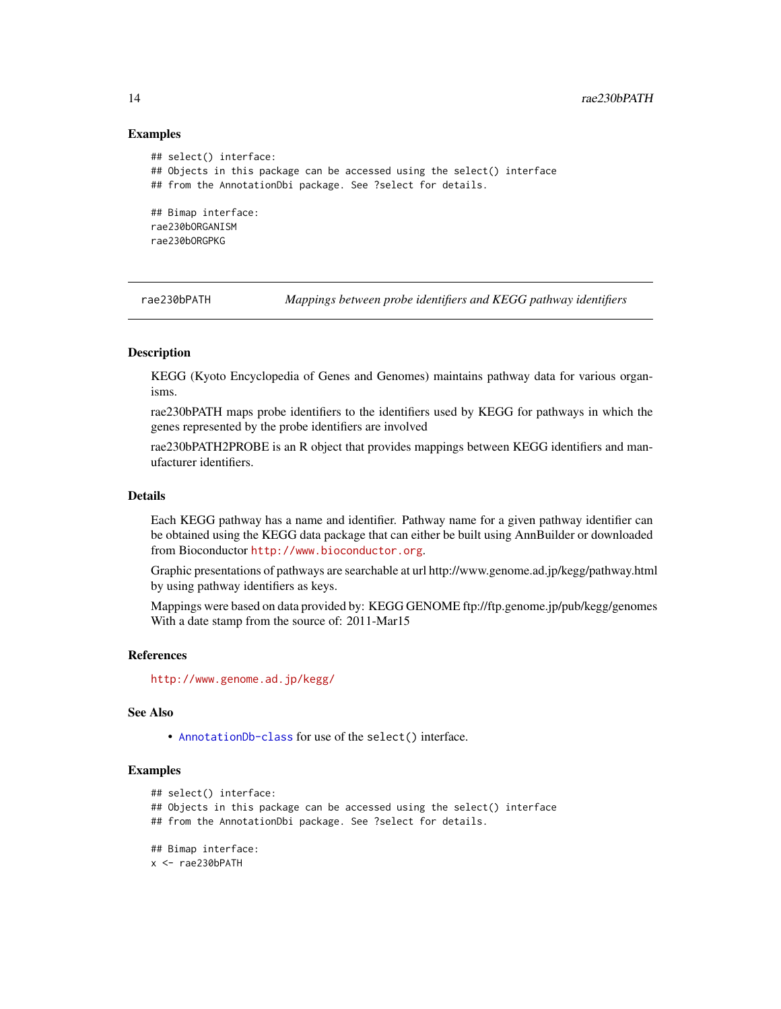#### Examples

```
## select() interface:
## Objects in this package can be accessed using the select() interface
## from the AnnotationDbi package. See ?select for details.
## Bimap interface:
rae230bORGANISM
rae230bORGPKG
```
rae230bPATH *Mappings between probe identifiers and KEGG pathway identifiers*

# Description

KEGG (Kyoto Encyclopedia of Genes and Genomes) maintains pathway data for various organisms.

rae230bPATH maps probe identifiers to the identifiers used by KEGG for pathways in which the genes represented by the probe identifiers are involved

rae230bPATH2PROBE is an R object that provides mappings between KEGG identifiers and manufacturer identifiers.

# Details

Each KEGG pathway has a name and identifier. Pathway name for a given pathway identifier can be obtained using the KEGG data package that can either be built using AnnBuilder or downloaded from Bioconductor <http://www.bioconductor.org>.

Graphic presentations of pathways are searchable at url http://www.genome.ad.jp/kegg/pathway.html by using pathway identifiers as keys.

Mappings were based on data provided by: KEGG GENOME ftp://ftp.genome.jp/pub/kegg/genomes With a date stamp from the source of: 2011-Mar15

#### References

<http://www.genome.ad.jp/kegg/>

# See Also

• [AnnotationDb-class](#page-0-0) for use of the select() interface.

```
## select() interface:
## Objects in this package can be accessed using the select() interface
## from the AnnotationDbi package. See ?select for details.
## Bimap interface:
x <- rae230bPATH
```
<span id="page-13-0"></span>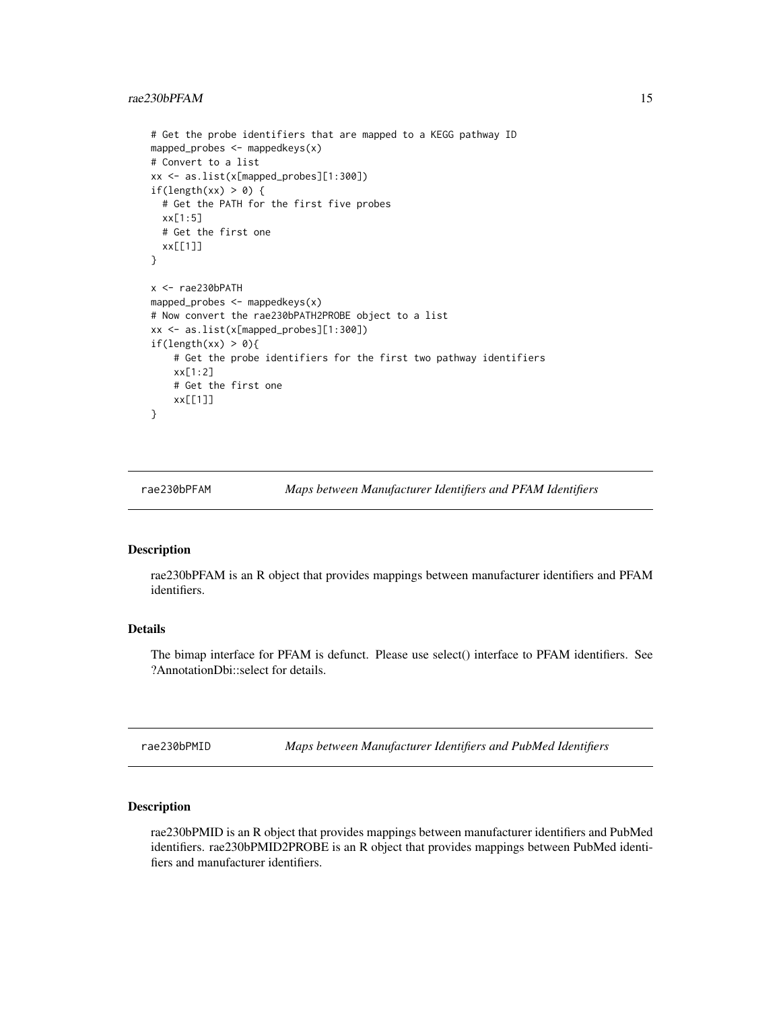```
# Get the probe identifiers that are mapped to a KEGG pathway ID
mapped_probes <- mappedkeys(x)
# Convert to a list
xx <- as.list(x[mapped_probes][1:300])
if(length(xx) > 0) {
 # Get the PATH for the first five probes
 xx[1:5]
 # Get the first one
 xx[[1]]
}
x <- rae230bPATH
mapped_probes <- mappedkeys(x)
# Now convert the rae230bPATH2PROBE object to a list
xx <- as.list(x[mapped_probes][1:300])
if(length(xx) > 0){
    # Get the probe identifiers for the first two pathway identifiers
   xx[1:2]
   # Get the first one
   xx[[1]]
}
```
rae230bPFAM *Maps between Manufacturer Identifiers and PFAM Identifiers*

#### Description

rae230bPFAM is an R object that provides mappings between manufacturer identifiers and PFAM identifiers.

# Details

The bimap interface for PFAM is defunct. Please use select() interface to PFAM identifiers. See ?AnnotationDbi::select for details.

rae230bPMID *Maps between Manufacturer Identifiers and PubMed Identifiers*

#### Description

rae230bPMID is an R object that provides mappings between manufacturer identifiers and PubMed identifiers. rae230bPMID2PROBE is an R object that provides mappings between PubMed identifiers and manufacturer identifiers.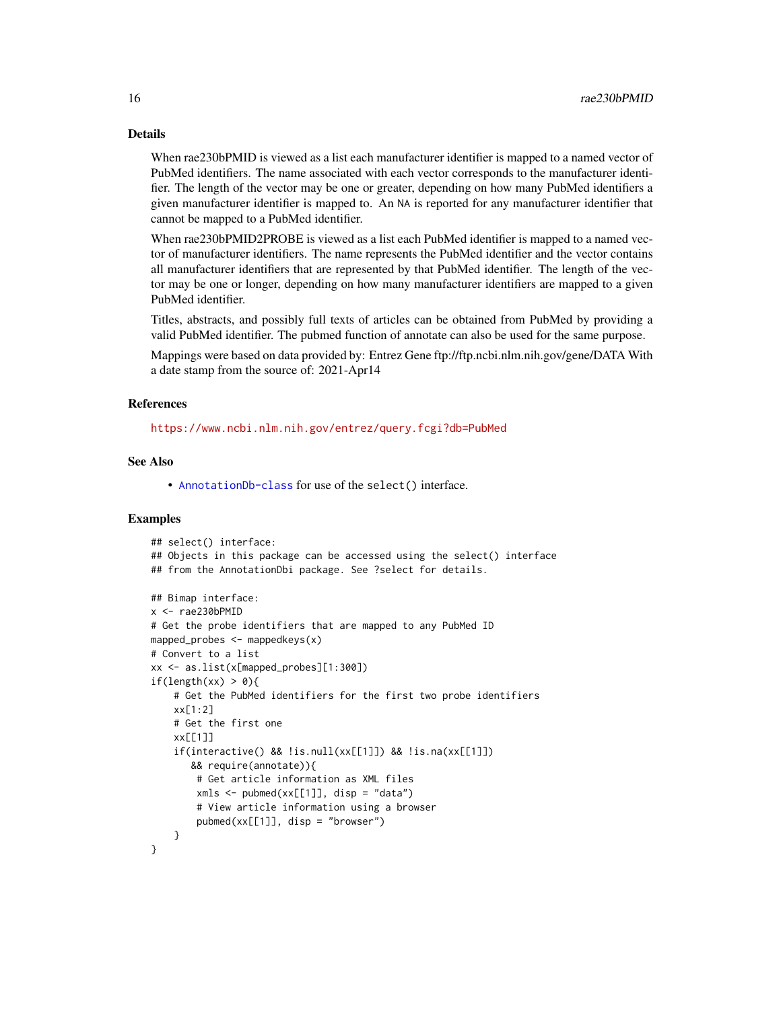# Details

When rae230bPMID is viewed as a list each manufacturer identifier is mapped to a named vector of PubMed identifiers. The name associated with each vector corresponds to the manufacturer identifier. The length of the vector may be one or greater, depending on how many PubMed identifiers a given manufacturer identifier is mapped to. An NA is reported for any manufacturer identifier that cannot be mapped to a PubMed identifier.

When rae230bPMID2PROBE is viewed as a list each PubMed identifier is mapped to a named vector of manufacturer identifiers. The name represents the PubMed identifier and the vector contains all manufacturer identifiers that are represented by that PubMed identifier. The length of the vector may be one or longer, depending on how many manufacturer identifiers are mapped to a given PubMed identifier.

Titles, abstracts, and possibly full texts of articles can be obtained from PubMed by providing a valid PubMed identifier. The pubmed function of annotate can also be used for the same purpose.

Mappings were based on data provided by: Entrez Gene ftp://ftp.ncbi.nlm.nih.gov/gene/DATA With a date stamp from the source of: 2021-Apr14

#### References

<https://www.ncbi.nlm.nih.gov/entrez/query.fcgi?db=PubMed>

# See Also

• [AnnotationDb-class](#page-0-0) for use of the select() interface.

```
## select() interface:
## Objects in this package can be accessed using the select() interface
## from the AnnotationDbi package. See ?select for details.
## Bimap interface:
x <- rae230bPMID
# Get the probe identifiers that are mapped to any PubMed ID
mapped_probes \leq mappedkeys(x)
# Convert to a list
xx <- as.list(x[mapped_probes][1:300])
if(length(xx) > 0)# Get the PubMed identifiers for the first two probe identifiers
    xx[1:2]
    # Get the first one
    xx[[1]]
    if(interactive() && !is.null(xx[[1]]) && !is.na(xx[[1]])
       && require(annotate)){
        # Get article information as XML files
        xmls < -pubmed(xx[[1]], disp = "data")# View article information using a browser
        pubmed(xx[[1]], disp = "browser")
    }
}
```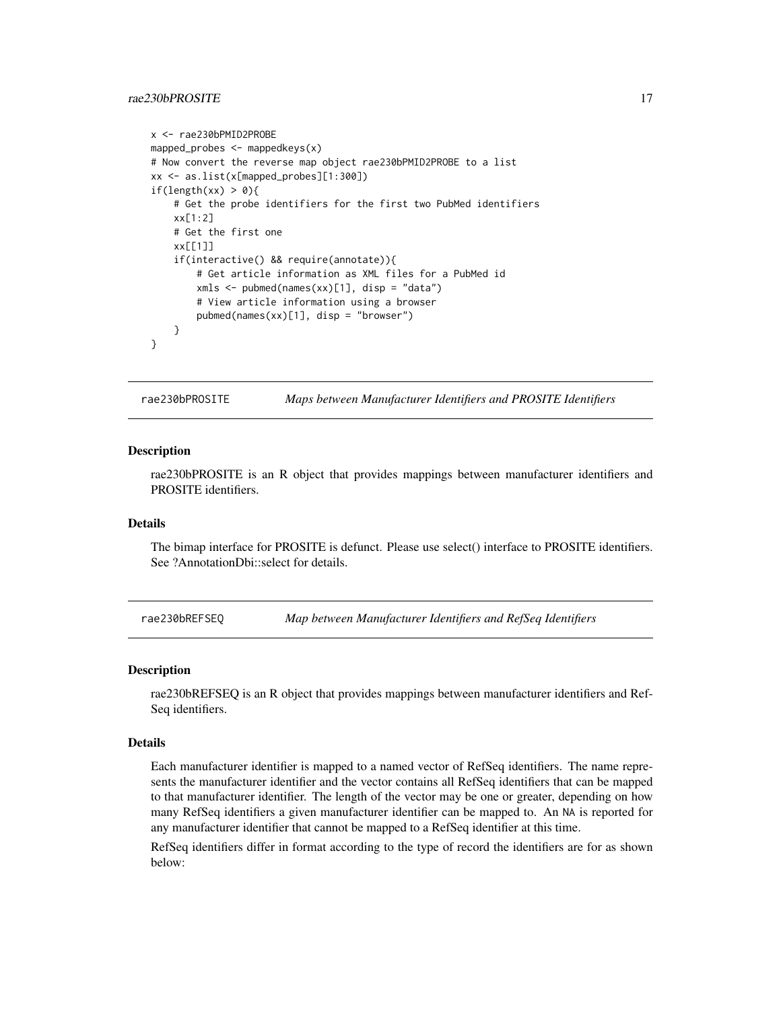# <span id="page-16-0"></span>rae230bPROSITE 17

```
x <- rae230bPMID2PROBE
mapped_probes <- mappedkeys(x)
# Now convert the reverse map object rae230bPMID2PROBE to a list
xx <- as.list(x[mapped_probes][1:300])
if(length(xx) > 0){
    # Get the probe identifiers for the first two PubMed identifiers
    xx[1:2]
    # Get the first one
   xx[[1]]
    if(interactive() && require(annotate)){
        # Get article information as XML files for a PubMed id
        xmls <- pubmed(names(xx)[1], disp = "data")
        # View article information using a browser
        pubmed(names(xx)[1], disp = "browser")
   }
}
```
rae230bPROSITE *Maps between Manufacturer Identifiers and PROSITE Identifiers*

#### **Description**

rae230bPROSITE is an R object that provides mappings between manufacturer identifiers and PROSITE identifiers.

# Details

The bimap interface for PROSITE is defunct. Please use select() interface to PROSITE identifiers. See ?AnnotationDbi::select for details.

rae230bREFSEQ *Map between Manufacturer Identifiers and RefSeq Identifiers*

#### Description

rae230bREFSEQ is an R object that provides mappings between manufacturer identifiers and Ref-Seq identifiers.

#### Details

Each manufacturer identifier is mapped to a named vector of RefSeq identifiers. The name represents the manufacturer identifier and the vector contains all RefSeq identifiers that can be mapped to that manufacturer identifier. The length of the vector may be one or greater, depending on how many RefSeq identifiers a given manufacturer identifier can be mapped to. An NA is reported for any manufacturer identifier that cannot be mapped to a RefSeq identifier at this time.

RefSeq identifiers differ in format according to the type of record the identifiers are for as shown below: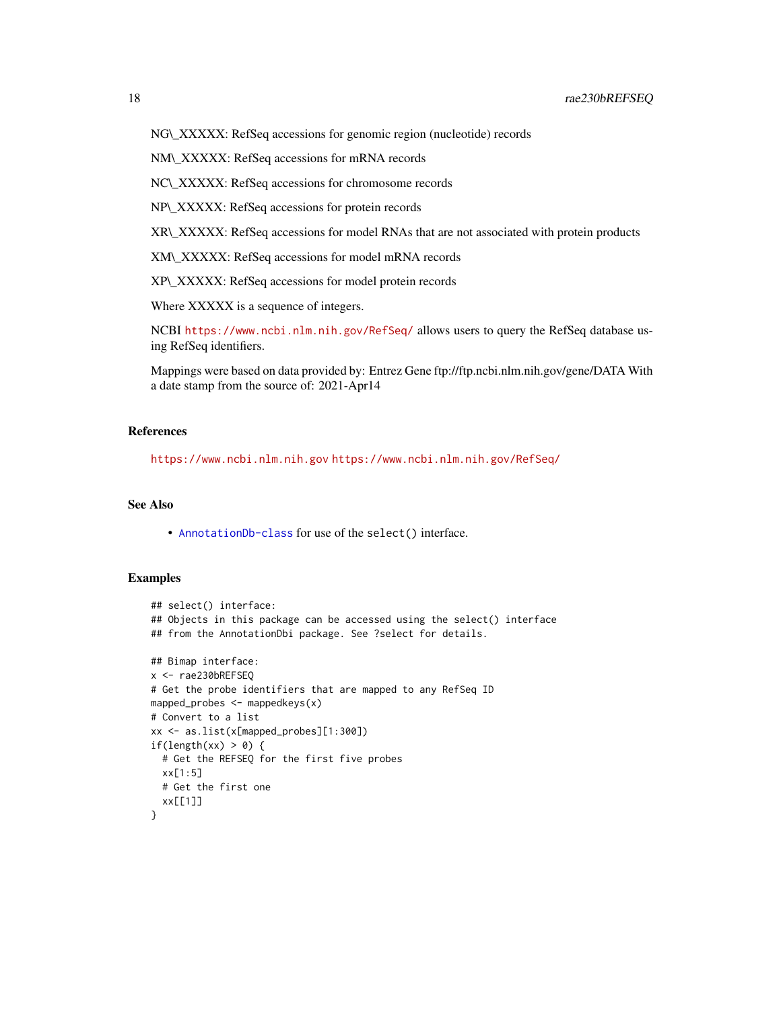NG\\_XXXXX: RefSeq accessions for genomic region (nucleotide) records

NM\\_XXXXX: RefSeq accessions for mRNA records

NC\\_XXXXX: RefSeq accessions for chromosome records

NP\\_XXXXX: RefSeq accessions for protein records

XR\\_XXXXX: RefSeq accessions for model RNAs that are not associated with protein products

XM\\_XXXXX: RefSeq accessions for model mRNA records

XP\\_XXXXX: RefSeq accessions for model protein records

Where XXXXX is a sequence of integers.

NCBI <https://www.ncbi.nlm.nih.gov/RefSeq/> allows users to query the RefSeq database using RefSeq identifiers.

Mappings were based on data provided by: Entrez Gene ftp://ftp.ncbi.nlm.nih.gov/gene/DATA With a date stamp from the source of: 2021-Apr14

# References

<https://www.ncbi.nlm.nih.gov> <https://www.ncbi.nlm.nih.gov/RefSeq/>

# See Also

• [AnnotationDb-class](#page-0-0) for use of the select() interface.

```
## select() interface:
## Objects in this package can be accessed using the select() interface
## from the AnnotationDbi package. See ?select for details.
## Bimap interface:
x <- rae230bREFSEQ
# Get the probe identifiers that are mapped to any RefSeq ID
mapped_probes \leq mappedkeys(x)
# Convert to a list
xx <- as.list(x[mapped_probes][1:300])
if(length(xx) > 0) {
  # Get the REFSEQ for the first five probes
  xx[1:5]
  # Get the first one
  xx[[1]]
}
```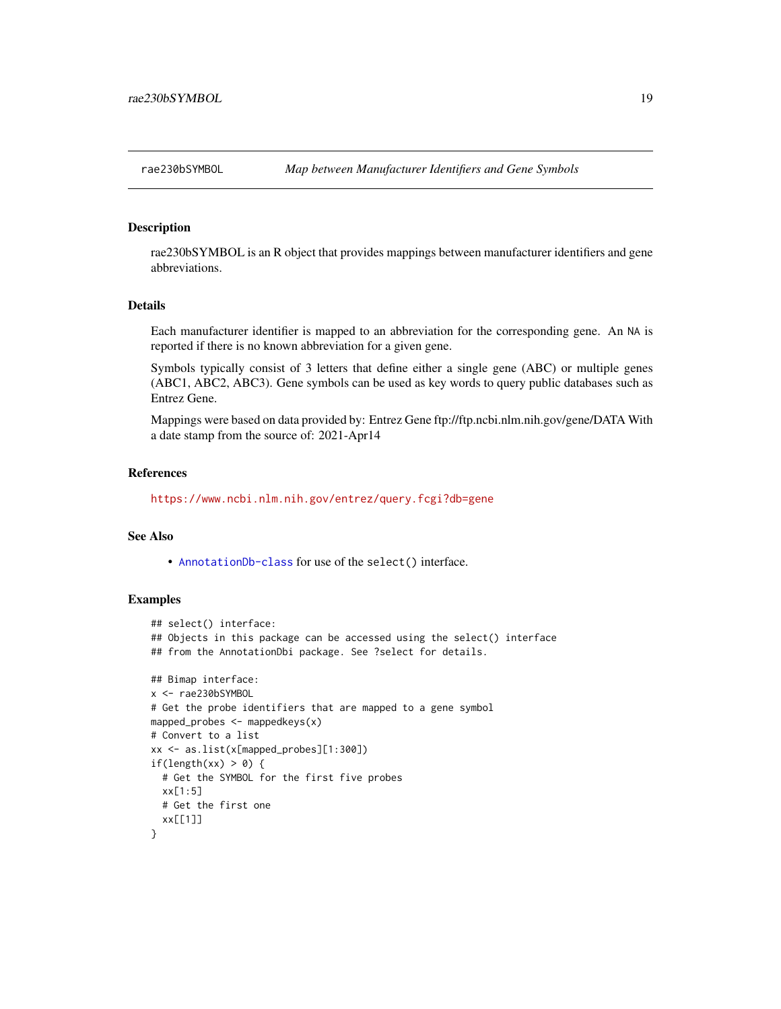<span id="page-18-0"></span>

rae230bSYMBOL is an R object that provides mappings between manufacturer identifiers and gene abbreviations.

# Details

Each manufacturer identifier is mapped to an abbreviation for the corresponding gene. An NA is reported if there is no known abbreviation for a given gene.

Symbols typically consist of 3 letters that define either a single gene (ABC) or multiple genes (ABC1, ABC2, ABC3). Gene symbols can be used as key words to query public databases such as Entrez Gene.

Mappings were based on data provided by: Entrez Gene ftp://ftp.ncbi.nlm.nih.gov/gene/DATA With a date stamp from the source of: 2021-Apr14

#### References

<https://www.ncbi.nlm.nih.gov/entrez/query.fcgi?db=gene>

#### See Also

• [AnnotationDb-class](#page-0-0) for use of the select() interface.

```
## select() interface:
## Objects in this package can be accessed using the select() interface
## from the AnnotationDbi package. See ?select for details.
## Bimap interface:
x <- rae230bSYMBOL
# Get the probe identifiers that are mapped to a gene symbol
mapped_probes <- mappedkeys(x)
# Convert to a list
xx <- as.list(x[mapped_probes][1:300])
if(length(xx) > 0) {
  # Get the SYMBOL for the first five probes
  xx[1:5]
  # Get the first one
  xx[[1]]
}
```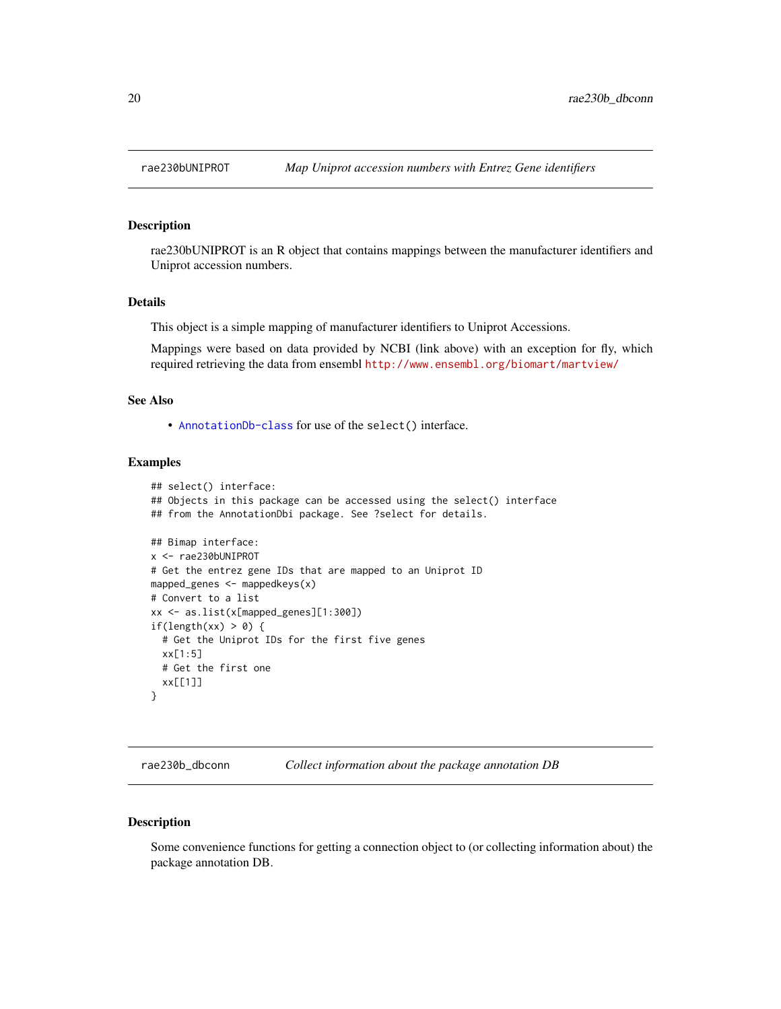<span id="page-19-0"></span>

rae230bUNIPROT is an R object that contains mappings between the manufacturer identifiers and Uniprot accession numbers.

#### Details

This object is a simple mapping of manufacturer identifiers to Uniprot Accessions.

Mappings were based on data provided by NCBI (link above) with an exception for fly, which required retrieving the data from ensembl <http://www.ensembl.org/biomart/martview/>

# See Also

• [AnnotationDb-class](#page-0-0) for use of the select() interface.

# Examples

```
## select() interface:
## Objects in this package can be accessed using the select() interface
## from the AnnotationDbi package. See ?select for details.
## Bimap interface:
x <- rae230bUNIPROT
# Get the entrez gene IDs that are mapped to an Uniprot ID
mapped_genes <- mappedkeys(x)
# Convert to a list
xx <- as.list(x[mapped_genes][1:300])
if(length(xx) > 0) {
  # Get the Uniprot IDs for the first five genes
  xx[1:5]
  # Get the first one
  xx[[1]]
}
```
rae230b\_dbconn *Collect information about the package annotation DB*

#### Description

Some convenience functions for getting a connection object to (or collecting information about) the package annotation DB.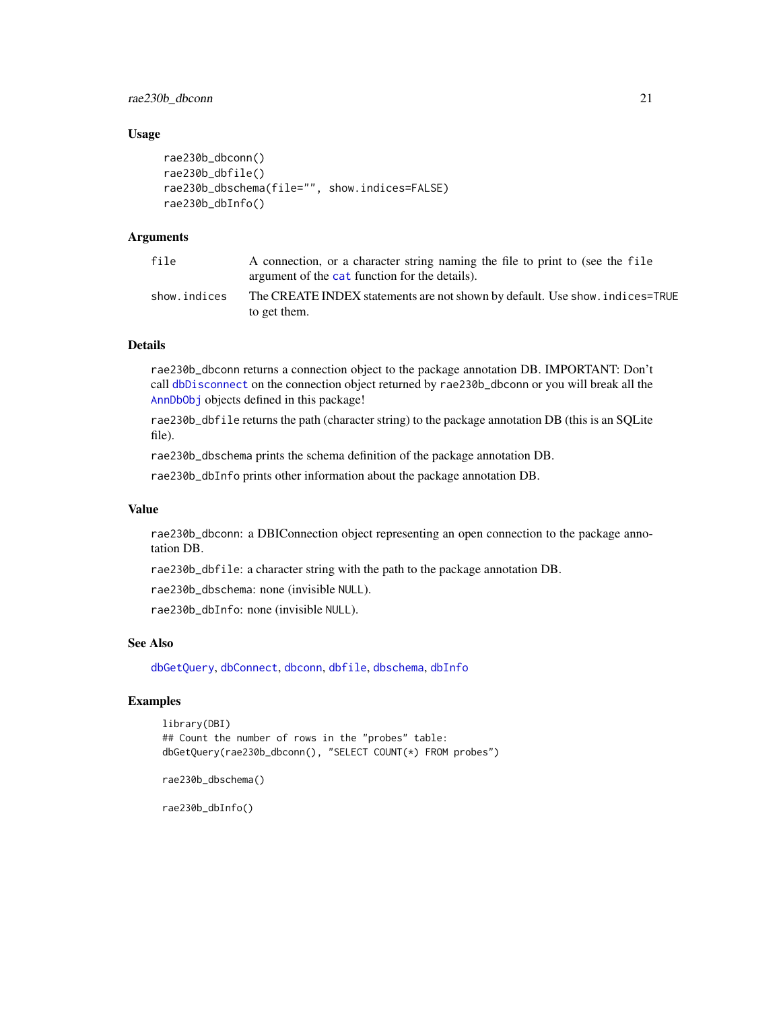<span id="page-20-0"></span>rae230b\_dbconn 21

#### Usage

```
rae230b_dbconn()
rae230b_dbfile()
rae230b_dbschema(file="", show.indices=FALSE)
rae230b_dbInfo()
```
# Arguments

| file         | A connection, or a character string naming the file to print to (see the file<br>argument of the cat function for the details). |
|--------------|---------------------------------------------------------------------------------------------------------------------------------|
| show.indices | The CREATE INDEX statements are not shown by default. Use show, indices=TRUE<br>to get them.                                    |

# Details

rae230b\_dbconn returns a connection object to the package annotation DB. IMPORTANT: Don't call [dbDisconnect](#page-0-0) on the connection object returned by rae230b\_dbconn or you will break all the [AnnDbObj](#page-0-0) objects defined in this package!

rae230b\_dbfile returns the path (character string) to the package annotation DB (this is an SQLite file).

rae230b\_dbschema prints the schema definition of the package annotation DB.

rae230b\_dbInfo prints other information about the package annotation DB.

#### Value

rae230b\_dbconn: a DBIConnection object representing an open connection to the package annotation DB.

rae230b\_dbfile: a character string with the path to the package annotation DB.

rae230b\_dbschema: none (invisible NULL).

rae230b\_dbInfo: none (invisible NULL).

# See Also

[dbGetQuery](#page-0-0), [dbConnect](#page-0-0), [dbconn](#page-0-0), [dbfile](#page-0-0), [dbschema](#page-0-0), [dbInfo](#page-0-0)

# Examples

```
library(DBI)
## Count the number of rows in the "probes" table:
dbGetQuery(rae230b_dbconn(), "SELECT COUNT(*) FROM probes")
```

```
rae230b_dbschema()
```
rae230b\_dbInfo()